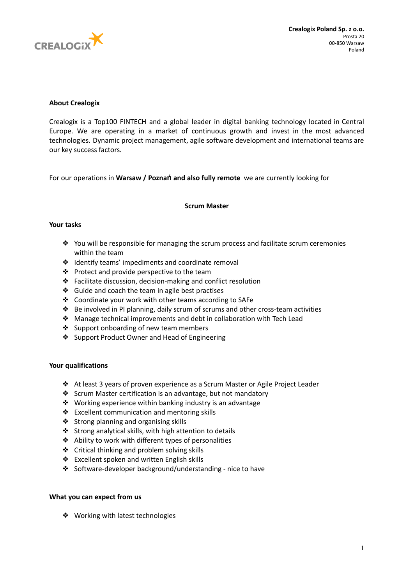

# **About Crealogix**

Crealogix is a Top100 FINTECH and a global leader in digital banking technology located in Central Europe. We are operating in a market of continuous growth and invest in the most advanced technologies. Dynamic project management, agile software development and international teams are our key success factors.

For our operations in **Warsaw / Poznań and also fully remote** we are currently looking for

## **Scrum Master**

# **Your tasks**

- $♦$  You will be responsible for managing the scrum process and facilitate scrum ceremonies within the team
- ❖ Identify teams' impediments and coordinate removal
- ❖ Protect and provide perspective to the team
- ❖ Facilitate discussion, decision-making and conflict resolution
- ❖ Guide and coach the team in agile best practises
- ❖ Coordinate your work with other teams according to SAFe
- ❖ Be involved in PI planning, daily scrum of scrums and other cross-team activities
- ❖ Manage technical improvements and debt in collaboration with Tech Lead
- ❖ Support onboarding of new team members
- ❖ Support Product Owner and Head of Engineering

### **Your qualifications**

- ❖ At least 3 years of proven experience as a Scrum Master or Agile Project Leader
- ❖ Scrum Master certification is an advantage, but not mandatory
- ❖ Working experience within banking industry is an advantage
- ❖ Excellent communication and mentoring skills
- ❖ Strong planning and organising skills
- ❖ Strong analytical skills, with high attention to details
- ❖ Ability to work with different types of personalities
- ❖ Critical thinking and problem solving skills
- ❖ Excellent spoken and written English skills
- ❖ Software-developer background/understanding nice to have

### **What you can expect from us**

❖ Working with latest technologies